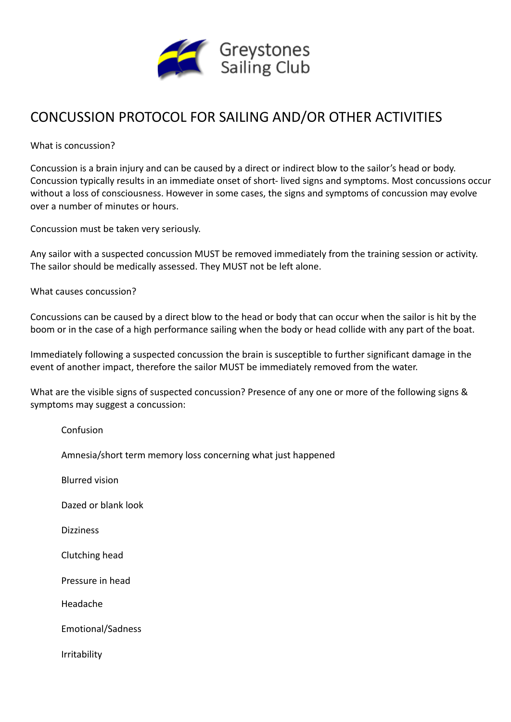

## CONCUSSION PROTOCOL FOR SAILING AND/OR OTHER ACTIVITIES

What is concussion?

Concussion is a brain injury and can be caused by a direct or indirect blow to the sailor's head or body. Concussion typically results in an immediate onset of short- lived signs and symptoms. Most concussions occur without a loss of consciousness. However in some cases, the signs and symptoms of concussion may evolve over a number of minutes or hours.

Concussion must be taken very seriously.

Any sailor with a suspected concussion MUST be removed immediately from the training session or activity. The sailor should be medically assessed. They MUST not be left alone.

What causes concussion?

Concussions can be caused by a direct blow to the head or body that can occur when the sailor is hit by the boom or in the case of a high performance sailing when the body or head collide with any part of the boat.

Immediately following a suspected concussion the brain is susceptible to further significant damage in the event of another impact, therefore the sailor MUST be immediately removed from the water.

What are the visible signs of suspected concussion? Presence of any one or more of the following signs & symptoms may suggest a concussion:

| Confusion                                                    |
|--------------------------------------------------------------|
| Amnesia/short term memory loss concerning what just happened |
| <b>Blurred vision</b>                                        |
| Dazed or blank look                                          |
| <b>Dizziness</b>                                             |
| Clutching head                                               |
| Pressure in head                                             |
| Headache                                                     |
| <b>Emotional/Sadness</b>                                     |
| Irritability                                                 |
|                                                              |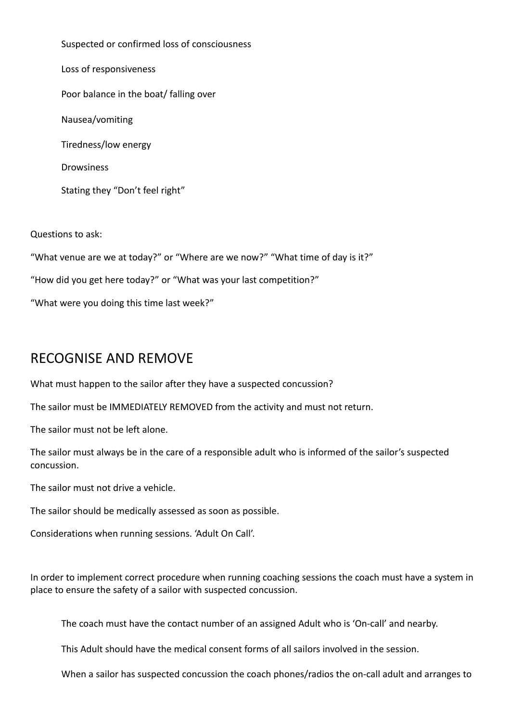Suspected or confirmed loss of consciousness Loss of responsiveness Poor balance in the boat/ falling over Nausea/vomiting Tiredness/low energy **Drowsiness** Stating they "Don't feel right"

Questions to ask:

"What venue are we at today?" or "Where are we now?" "What time of day is it?"

"How did you get here today?" or "What was your last competition?"

"What were you doing this time last week?"

## RECOGNISE AND REMOVE

What must happen to the sailor after they have a suspected concussion?

The sailor must be IMMEDIATELY REMOVED from the activity and must not return.

The sailor must not be left alone.

The sailor must always be in the care of a responsible adult who is informed of the sailor's suspected concussion.

The sailor must not drive a vehicle.

The sailor should be medically assessed as soon as possible.

Considerations when running sessions. 'Adult On Call'.

In order to implement correct procedure when running coaching sessions the coach must have a system in place to ensure the safety of a sailor with suspected concussion.

The coach must have the contact number of an assigned Adult who is 'On-call' and nearby.

This Adult should have the medical consent forms of all sailors involved in the session.

When a sailor has suspected concussion the coach phones/radios the on-call adult and arranges to